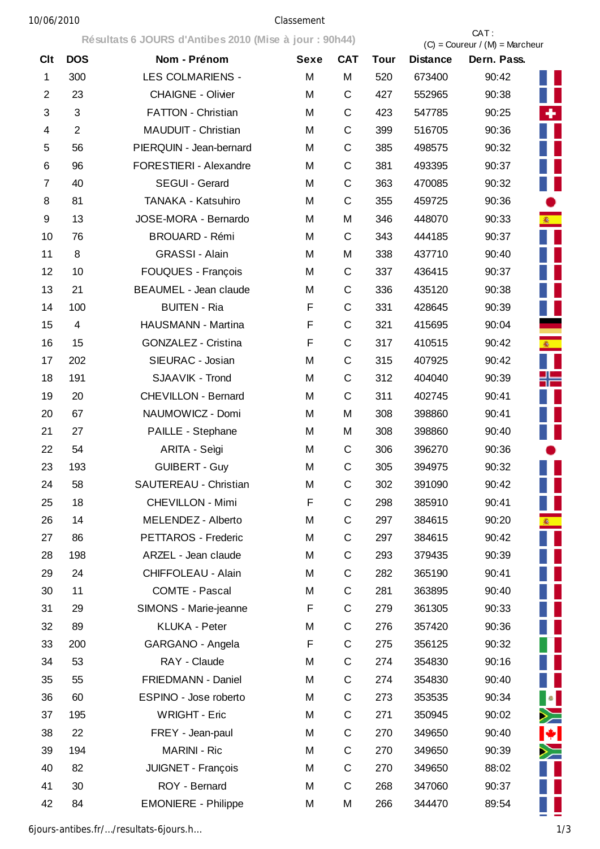## 10/06/2010 Classement

|            |                | Résultats 6 JOURS d'Antibes 2010 (Mise à jour : 90h44) |             |              |             | CAT:<br>$(C) =$ Coureur / $(M) =$ Marcheur |             |              |  |
|------------|----------------|--------------------------------------------------------|-------------|--------------|-------------|--------------------------------------------|-------------|--------------|--|
| <b>Clt</b> | <b>DOS</b>     | Nom - Prénom                                           | <b>Sexe</b> | <b>CAT</b>   | <b>Tour</b> | <b>Distance</b>                            | Dern. Pass. |              |  |
| 1          | 300            | <b>LES COLMARIENS -</b>                                | M           | M            | 520         | 673400                                     | 90:42       |              |  |
| 2          | 23             | <b>CHAIGNE - Olivier</b>                               | M           | C            | 427         | 552965                                     | 90:38       |              |  |
| 3          | 3              | <b>FATTON - Christian</b>                              | M           | C            | 423         | 547785                                     | 90:25       | ٠            |  |
| 4          | $\overline{2}$ | MAUDUIT - Christian                                    | M           | $\mathsf{C}$ | 399         | 516705                                     | 90:36       |              |  |
| 5          | 56             | PIERQUIN - Jean-bernard                                | M           | C            | 385         | 498575                                     | 90:32       |              |  |
| 6          | 96             | <b>FORESTIERI - Alexandre</b>                          | M           | C            | 381         | 493395                                     | 90:37       |              |  |
| 7          | 40             | SEGUI - Gerard                                         | M           | C            | 363         | 470085                                     | 90:32       |              |  |
| 8          | 81             | TANAKA - Katsuhiro                                     | M           | C            | 355         | 459725                                     | 90:36       |              |  |
| 9          | 13             | JOSE-MORA - Bernardo                                   | M           | M            | 346         | 448070                                     | 90:33       | 渝            |  |
| 10         | 76             | <b>BROUARD - Rémi</b>                                  | M           | C            | 343         | 444185                                     | 90:37       |              |  |
| 11         | 8              | <b>GRASSI - Alain</b>                                  | M           | M            | 338         | 437710                                     | 90:40       |              |  |
| 12         | 10             | FOUQUES - François                                     | M           | C            | 337         | 436415                                     | 90:37       |              |  |
| 13         | 21             | <b>BEAUMEL - Jean claude</b>                           | M           | C            | 336         | 435120                                     | 90:38       |              |  |
| 14         | 100            | <b>BUITEN - Ria</b>                                    | F           | C            | 331         | 428645                                     | 90:39       |              |  |
| 15         | $\overline{4}$ | HAUSMANN - Martina                                     | F           | C            | 321         | 415695                                     | 90:04       |              |  |
| 16         | 15             | GONZALEZ - Cristina                                    | F           | C            | 317         | 410515                                     | 90:42       | <b>图</b>     |  |
| 17         | 202            | SIEURAC - Josian                                       | M           | C            | 315         | 407925                                     | 90:42       |              |  |
| 18         | 191            | SJAAVIK - Trond                                        | M           | C            | 312         | 404040                                     | 90:39       | ╬═           |  |
| 19         | 20             | <b>CHEVILLON - Bernard</b>                             | M           | $\mathsf{C}$ | 311         | 402745                                     | 90:41       |              |  |
| 20         | 67             | NAUMOWICZ - Domi                                       | M           | M            | 308         | 398860                                     | 90:41       |              |  |
| 21         | 27             | PAILLE - Stephane                                      | M           | M            | 308         | 398860                                     | 90:40       |              |  |
| 22         | 54             | ARITA - Seìgi                                          | M           | C            | 306         | 396270                                     | 90:36       |              |  |
| 23         | 193            | <b>GUIBERT - Guy</b>                                   | M           | C            | 305         | 394975                                     | 90:32       |              |  |
| 24         | 58             | <b>SAUTEREAU - Christian</b>                           | M           | C            | 302         | 391090                                     | 90:42       |              |  |
| 25         | 18             | <b>CHEVILLON - Mimi</b>                                | F           | C            | 298         | 385910                                     | 90:41       |              |  |
| 26         | 14             | MELENDEZ - Alberto                                     | M           | $\mathsf C$  | 297         | 384615                                     | 90:20       | <b>衛</b>     |  |
| 27         | 86             | PETTAROS - Frederic                                    | M           | C            | 297         | 384615                                     | 90:42       |              |  |
| 28         | 198            | ARZEL - Jean claude                                    | M           | C            | 293         | 379435                                     | 90:39       |              |  |
| 29         | 24             | CHIFFOLEAU - Alain                                     | M           | C            | 282         | 365190                                     | 90:41       |              |  |
| 30         | 11             | COMTE - Pascal                                         | M           | C            | 281         | 363895                                     | 90:40       |              |  |
| 31         | 29             | SIMONS - Marie-jeanne                                  | F           | C            | 279         | 361305                                     | 90:33       |              |  |
| 32         | 89             | KLUKA - Peter                                          | M           | C            | 276         | 357420                                     | 90:36       |              |  |
| 33         | 200            | GARGANO - Angela                                       | F           | C            | 275         | 356125                                     | 90:32       |              |  |
| 34         | 53             | RAY - Claude                                           | M           | C            | 274         | 354830                                     | 90:16       |              |  |
| 35         | 55             | FRIEDMANN - Daniel                                     | M           | C            | 274         | 354830                                     | 90:40       |              |  |
| 36         | 60             | ESPINO - Jose roberto                                  | M           | C            | 273         | 353535                                     | 90:34       | $\bullet$    |  |
| 37         | 195            | <b>WRIGHT - Eric</b>                                   | M           | C            | 271         | 350945                                     | 90:02       | ≻≡           |  |
| 38         | 22             | FREY - Jean-paul                                       | M           | C            | 270         | 349650                                     | 90:40       | $\bigstar$ . |  |
| 39         | 194            | <b>MARINI - Ric</b>                                    | M           | $\mathsf C$  | 270         | 349650                                     | 90:39       | ≻≍           |  |
| 40         | 82             | JUIGNET - François                                     | M           | C            | 270         | 349650                                     | 88:02       |              |  |
| 41         | 30             | ROY - Bernard                                          | M           | C            | 268         | 347060                                     | 90:37       |              |  |
| 42         | 84             | <b>EMONIERE - Philippe</b>                             | M           | M            | 266         | 344470                                     | 89:54       |              |  |

6jours-antibes.fr/…/resultats-6jours.h… 1/3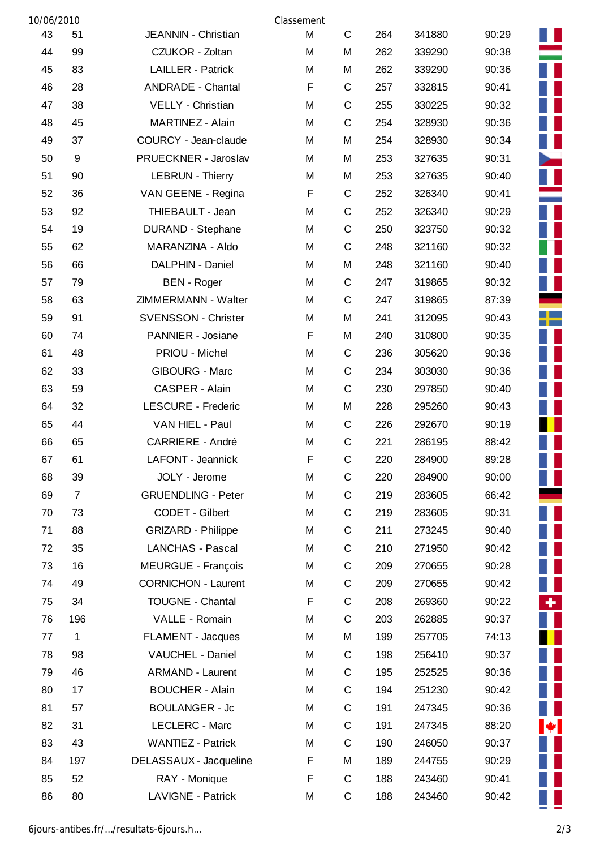| 10/06/2010 |                |                            | Classement |             |     |        |       |
|------------|----------------|----------------------------|------------|-------------|-----|--------|-------|
| 43         | 51             | JEANNIN - Christian        | M          | C           | 264 | 341880 | 90:29 |
| 44         | 99             | CZUKOR - Zoltan            | M          | M           | 262 | 339290 | 90:38 |
| 45         | 83             | <b>LAILLER - Patrick</b>   | M          | M           | 262 | 339290 | 90:36 |
| 46         | 28             | <b>ANDRADE - Chantal</b>   | F          | C           | 257 | 332815 | 90:41 |
| 47         | 38             | VELLY - Christian          | M          | C           | 255 | 330225 | 90:32 |
| 48         | 45             | MARTINEZ - Alain           | M          | C           | 254 | 328930 | 90:36 |
| 49         | 37             | COURCY - Jean-claude       | M          | M           | 254 | 328930 | 90:34 |
| 50         | $9\,$          | PRUECKNER - Jaroslav       | M          | M           | 253 | 327635 | 90:31 |
| 51         | 90             | <b>LEBRUN - Thierry</b>    | M          | M           | 253 | 327635 | 90:40 |
| 52         | 36             | VAN GEENE - Regina         | F          | C           | 252 | 326340 | 90:41 |
| 53         | 92             | THIEBAULT - Jean           | M          | C           | 252 | 326340 | 90:29 |
| 54         | 19             | DURAND - Stephane          | M          | C           | 250 | 323750 | 90:32 |
| 55         | 62             | MARANZINA - Aldo           | M          | C           | 248 | 321160 | 90:32 |
| 56         | 66             | DALPHIN - Daniel           | M          | М           | 248 | 321160 | 90:40 |
| 57         | 79             | <b>BEN</b> - Roger         | M          | C           | 247 | 319865 | 90:32 |
| 58         | 63             | ZIMMERMANN - Walter        | M          | C           | 247 | 319865 | 87:39 |
| 59         | 91             | <b>SVENSSON - Christer</b> | M          | M           | 241 | 312095 | 90:43 |
| 60         | 74             | PANNIER - Josiane          | F          | M           | 240 | 310800 | 90:35 |
| 61         | 48             | PRIOU - Michel             | M          | C           | 236 | 305620 | 90:36 |
| 62         | 33             | <b>GIBOURG - Marc</b>      | M          | C           | 234 | 303030 | 90:36 |
| 63         | 59             | CASPER - Alain             | M          | C           | 230 | 297850 | 90:40 |
| 64         | 32             | <b>LESCURE - Frederic</b>  | M          | M           | 228 | 295260 | 90:43 |
| 65         | 44             | VAN HIEL - Paul            | M          | C           | 226 | 292670 | 90:19 |
| 66         | 65             | <b>CARRIERE - André</b>    | M          | C           | 221 | 286195 | 88:42 |
| 67         | 61             | LAFONT - Jeannick          | F          | $\mathsf C$ | 220 | 284900 | 89:28 |
| 68         | 39             | JOLY - Jerome              | M          | С           | 220 | 284900 | 90:00 |
| 69         | $\overline{7}$ | <b>GRUENDLING - Peter</b>  | M          | C           | 219 | 283605 | 66:42 |
| 70         | 73             | CODET - Gilbert            | M          | C           | 219 | 283605 | 90:31 |
| 71         | 88             | <b>GRIZARD - Philippe</b>  | M          | C           | 211 | 273245 | 90:40 |
| 72         | 35             | <b>LANCHAS - Pascal</b>    | M          | С           | 210 | 271950 | 90:42 |
| 73         | 16             | MEURGUE - François         | M          | С           | 209 | 270655 | 90:28 |
| 74         | 49             | <b>CORNICHON - Laurent</b> | M          | C           | 209 | 270655 | 90:42 |
| 75         | 34             | TOUGNE - Chantal           | F          | C           | 208 | 269360 | 90:22 |
| 76         | 196            | VALLE - Romain             | M          | C           | 203 | 262885 | 90:37 |
| 77         | 1              | <b>FLAMENT - Jacques</b>   | M          | М           | 199 | 257705 | 74:13 |
| 78         | 98             | VAUCHEL - Daniel           | M          | C           | 198 | 256410 | 90:37 |
| 79         | 46             | <b>ARMAND - Laurent</b>    | M          | C           | 195 | 252525 | 90:36 |
| 80         | 17             | <b>BOUCHER - Alain</b>     | M          | C           | 194 | 251230 | 90:42 |
| 81         | 57             | <b>BOULANGER - Jc</b>      | M          | С           | 191 | 247345 | 90:36 |
| 82         | 31             | LECLERC - Marc             | M          | C           | 191 | 247345 | 88:20 |
| 83         | 43             | <b>WANTIEZ - Patrick</b>   | M          | C           | 190 | 246050 | 90:37 |
| 84         | 197            | DELASSAUX - Jacqueline     | F          | M           | 189 | 244755 | 90:29 |
| 85         | 52             | RAY - Monique              | F          | С           | 188 | 243460 | 90:41 |
| 86         | 80             | LAVIGNE - Patrick          | M          | C           | 188 | 243460 | 90:42 |

Ť

П Ū П

 $\frac{1}{1}$ 

п П П ۰ E

. .

٠